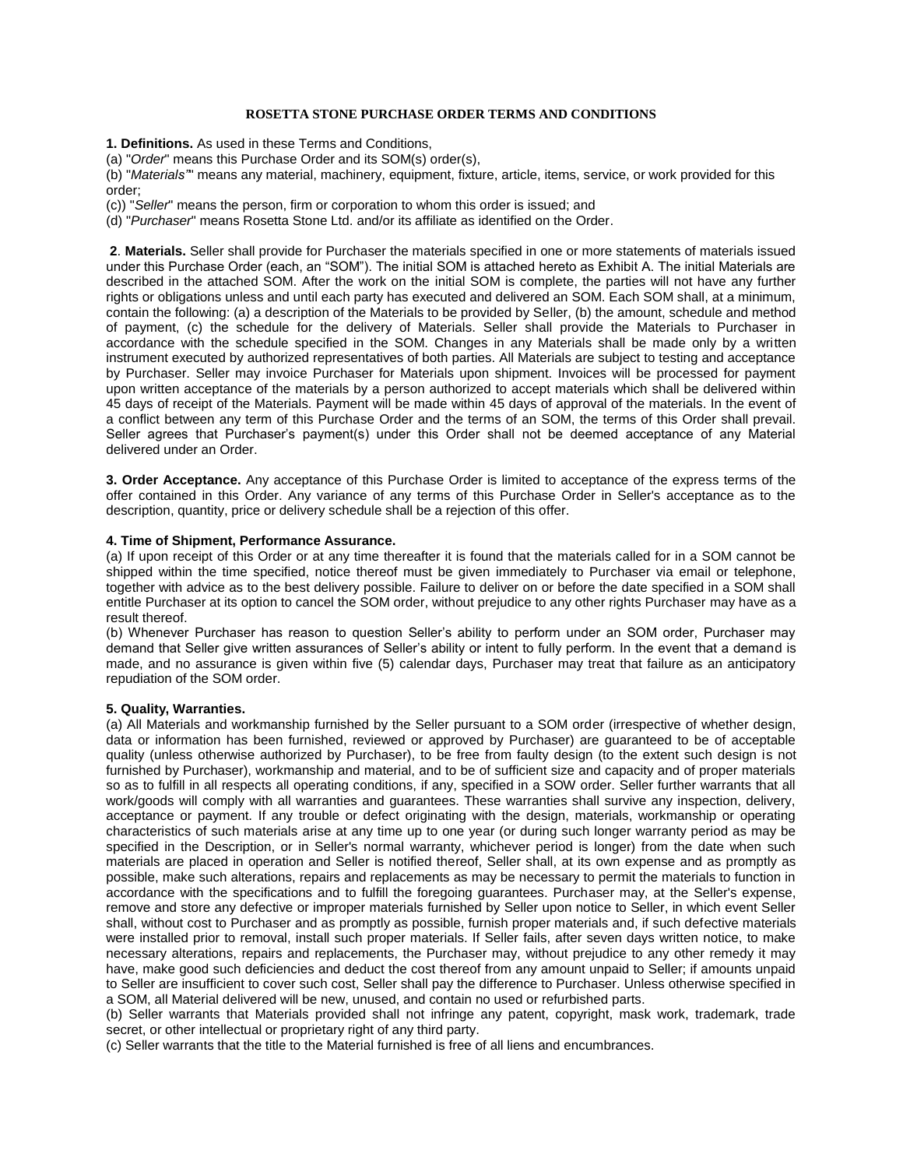### **ROSETTA STONE PURCHASE ORDER TERMS AND CONDITIONS**

**1. Definitions.** As used in these Terms and Conditions,

(a) "*Order*" means this Purchase Order and its SOM(s) order(s),

(b) "*Materials"*" means any material, machinery, equipment, fixture, article, items, service, or work provided for this order;

(c)) "*Seller*" means the person, firm or corporation to whom this order is issued; and

(d) "*Purchaser*" means Rosetta Stone Ltd. and/or its affiliate as identified on the Order.

**2**. **Materials.** Seller shall provide for Purchaser the materials specified in one or more statements of materials issued under this Purchase Order (each, an "SOM"). The initial SOM is attached hereto as Exhibit A. The initial Materials are described in the attached SOM. After the work on the initial SOM is complete, the parties will not have any further rights or obligations unless and until each party has executed and delivered an SOM. Each SOM shall, at a minimum, contain the following: (a) a description of the Materials to be provided by Seller, (b) the amount, schedule and method of payment, (c) the schedule for the delivery of Materials. Seller shall provide the Materials to Purchaser in accordance with the schedule specified in the SOM. Changes in any Materials shall be made only by a written instrument executed by authorized representatives of both parties. All Materials are subject to testing and acceptance by Purchaser. Seller may invoice Purchaser for Materials upon shipment. Invoices will be processed for payment upon written acceptance of the materials by a person authorized to accept materials which shall be delivered within 45 days of receipt of the Materials. Payment will be made within 45 days of approval of the materials. In the event of a conflict between any term of this Purchase Order and the terms of an SOM, the terms of this Order shall prevail. Seller agrees that Purchaser's payment(s) under this Order shall not be deemed acceptance of any Material delivered under an Order.

**3. Order Acceptance.** Any acceptance of this Purchase Order is limited to acceptance of the express terms of the offer contained in this Order. Any variance of any terms of this Purchase Order in Seller's acceptance as to the description, quantity, price or delivery schedule shall be a rejection of this offer.

### **4. Time of Shipment, Performance Assurance.**

(a) If upon receipt of this Order or at any time thereafter it is found that the materials called for in a SOM cannot be shipped within the time specified, notice thereof must be given immediately to Purchaser via email or telephone, together with advice as to the best delivery possible. Failure to deliver on or before the date specified in a SOM shall entitle Purchaser at its option to cancel the SOM order, without prejudice to any other rights Purchaser may have as a result thereof.

(b) Whenever Purchaser has reason to question Seller's ability to perform under an SOM order, Purchaser may demand that Seller give written assurances of Seller's ability or intent to fully perform. In the event that a demand is made, and no assurance is given within five (5) calendar days, Purchaser may treat that failure as an anticipatory repudiation of the SOM order.

#### **5. Quality, Warranties.**

(a) All Materials and workmanship furnished by the Seller pursuant to a SOM order (irrespective of whether design, data or information has been furnished, reviewed or approved by Purchaser) are guaranteed to be of acceptable quality (unless otherwise authorized by Purchaser), to be free from faulty design (to the extent such design is not furnished by Purchaser), workmanship and material, and to be of sufficient size and capacity and of proper materials so as to fulfill in all respects all operating conditions, if any, specified in a SOW order. Seller further warrants that all work/goods will comply with all warranties and guarantees. These warranties shall survive any inspection, delivery, acceptance or payment. If any trouble or defect originating with the design, materials, workmanship or operating characteristics of such materials arise at any time up to one year (or during such longer warranty period as may be specified in the Description, or in Seller's normal warranty, whichever period is longer) from the date when such materials are placed in operation and Seller is notified thereof, Seller shall, at its own expense and as promptly as possible, make such alterations, repairs and replacements as may be necessary to permit the materials to function in accordance with the specifications and to fulfill the foregoing guarantees. Purchaser may, at the Seller's expense, remove and store any defective or improper materials furnished by Seller upon notice to Seller, in which event Seller shall, without cost to Purchaser and as promptly as possible, furnish proper materials and, if such defective materials were installed prior to removal, install such proper materials. If Seller fails, after seven days written notice, to make necessary alterations, repairs and replacements, the Purchaser may, without prejudice to any other remedy it may have, make good such deficiencies and deduct the cost thereof from any amount unpaid to Seller; if amounts unpaid to Seller are insufficient to cover such cost, Seller shall pay the difference to Purchaser. Unless otherwise specified in a SOM, all Material delivered will be new, unused, and contain no used or refurbished parts.

(b) Seller warrants that Materials provided shall not infringe any patent, copyright, mask work, trademark, trade secret, or other intellectual or proprietary right of any third party.

(c) Seller warrants that the title to the Material furnished is free of all liens and encumbrances.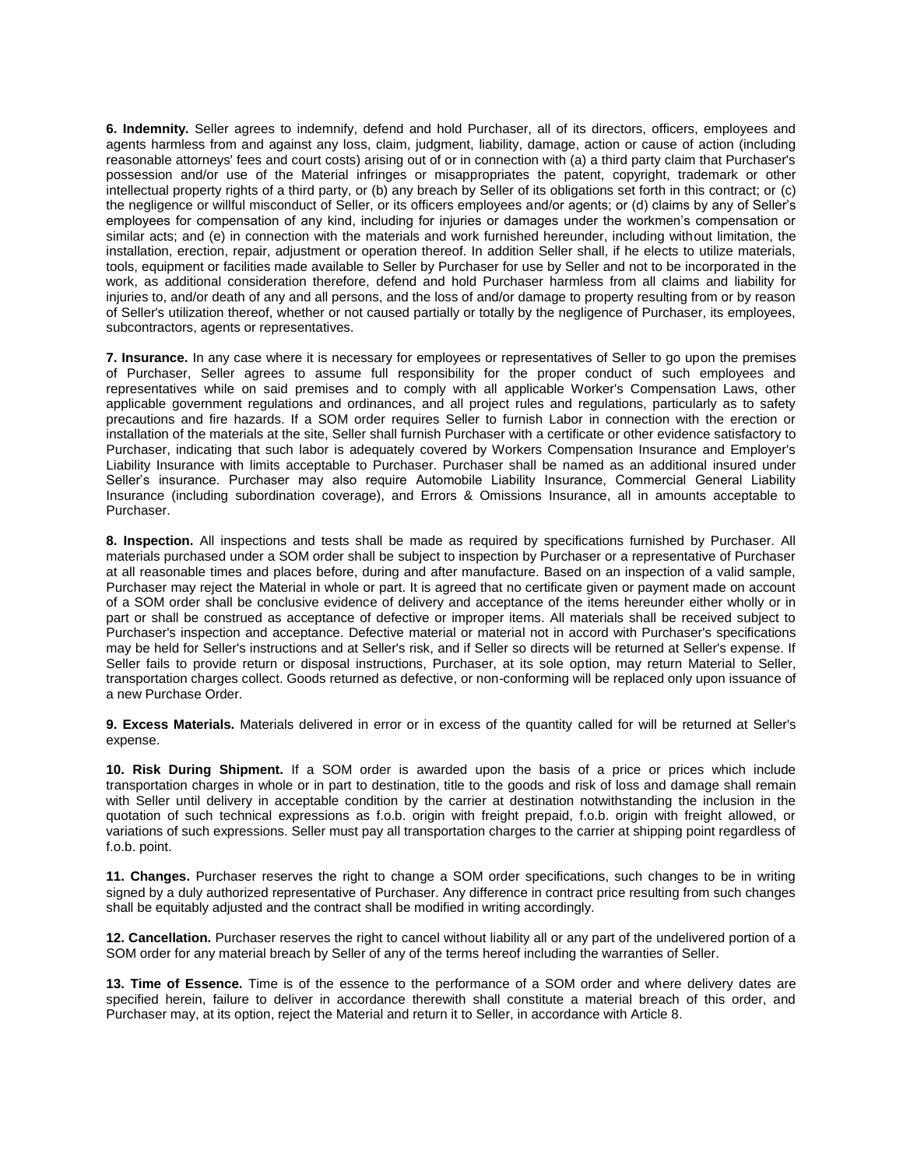**6. Indemnity.** Seller agrees to indemnify, defend and hold Purchaser, all of its directors, officers, employees and agents harmless from and against any loss, claim, judgment, liability, damage, action or cause of action (including reasonable attorneys' fees and court costs) arising out of or in connection with (a) a third party claim that Purchaser's possession and/or use of the Material infringes or misappropriates the patent, copyright, trademark or other intellectual property rights of a third party, or (b) any breach by Seller of its obligations set forth in this contract; or (c) the negligence or willful misconduct of Seller, or its officers employees and/or agents; or (d) claims by any of Seller's employees for compensation of any kind, including for injuries or damages under the workmen's compensation or similar acts; and (e) in connection with the materials and work furnished hereunder, including without limitation, the installation, erection, repair, adjustment or operation thereof. In addition Seller shall, if he elects to utilize materials, tools, equipment or facilities made available to Seller by Purchaser for use by Seller and not to be incorporated in the work, as additional consideration therefore, defend and hold Purchaser harmless from all claims and liability for injuries to, and/or death of any and all persons, and the loss of and/or damage to property resulting from or by reason of Seller's utilization thereof, whether or not caused partially or totally by the negligence of Purchaser, its employees, subcontractors, agents or representatives.

**7. Insurance.** In any case where it is necessary for employees or representatives of Seller to go upon the premises of Purchaser, Seller agrees to assume full responsibility for the proper conduct of such employees and representatives while on said premises and to comply with all applicable Worker's Compensation Laws, other applicable government regulations and ordinances, and all project rules and regulations, particularly as to safety precautions and fire hazards. If a SOM order requires Seller to furnish Labor in connection with the erection or installation of the materials at the site, Seller shall furnish Purchaser with a certificate or other evidence satisfactory to Purchaser, indicating that such labor is adequately covered by Workers Compensation Insurance and Employer's Liability Insurance with limits acceptable to Purchaser. Purchaser shall be named as an additional insured under Seller's insurance. Purchaser may also require Automobile Liability Insurance, Commercial General Liability Insurance (including subordination coverage), and Errors & Omissions Insurance, all in amounts acceptable to Purchaser.

**8. Inspection.** All inspections and tests shall be made as required by specifications furnished by Purchaser. All materials purchased under a SOM order shall be subject to inspection by Purchaser or a representative of Purchaser at all reasonable times and places before, during and after manufacture. Based on an inspection of a valid sample, Purchaser may reject the Material in whole or part. It is agreed that no certificate given or payment made on account of a SOM order shall be conclusive evidence of delivery and acceptance of the items hereunder either wholly or in part or shall be construed as acceptance of defective or improper items. All materials shall be received subject to Purchaser's inspection and acceptance. Defective material or material not in accord with Purchaser's specifications may be held for Seller's instructions and at Seller's risk, and if Seller so directs will be returned at Seller's expense. If Seller fails to provide return or disposal instructions, Purchaser, at its sole option, may return Material to Seller, transportation charges collect. Goods returned as defective, or non-conforming will be replaced only upon issuance of a new Purchase Order.

**9. Excess Materials.** Materials delivered in error or in excess of the quantity called for will be returned at Seller's expense.

**10. Risk During Shipment.** If a SOM order is awarded upon the basis of a price or prices which include transportation charges in whole or in part to destination, title to the goods and risk of loss and damage shall remain with Seller until delivery in acceptable condition by the carrier at destination notwithstanding the inclusion in the quotation of such technical expressions as f.o.b. origin with freight prepaid, f.o.b. origin with freight allowed, or variations of such expressions. Seller must pay all transportation charges to the carrier at shipping point regardless of f.o.b. point.

**11. Changes.** Purchaser reserves the right to change a SOM order specifications, such changes to be in writing signed by a duly authorized representative of Purchaser. Any difference in contract price resulting from such changes shall be equitably adjusted and the contract shall be modified in writing accordingly.

**12. Cancellation.** Purchaser reserves the right to cancel without liability all or any part of the undelivered portion of a SOM order for any material breach by Seller of any of the terms hereof including the warranties of Seller.

**13. Time of Essence.** Time is of the essence to the performance of a SOM order and where delivery dates are specified herein, failure to deliver in accordance therewith shall constitute a material breach of this order, and Purchaser may, at its option, reject the Material and return it to Seller, in accordance with Article 8.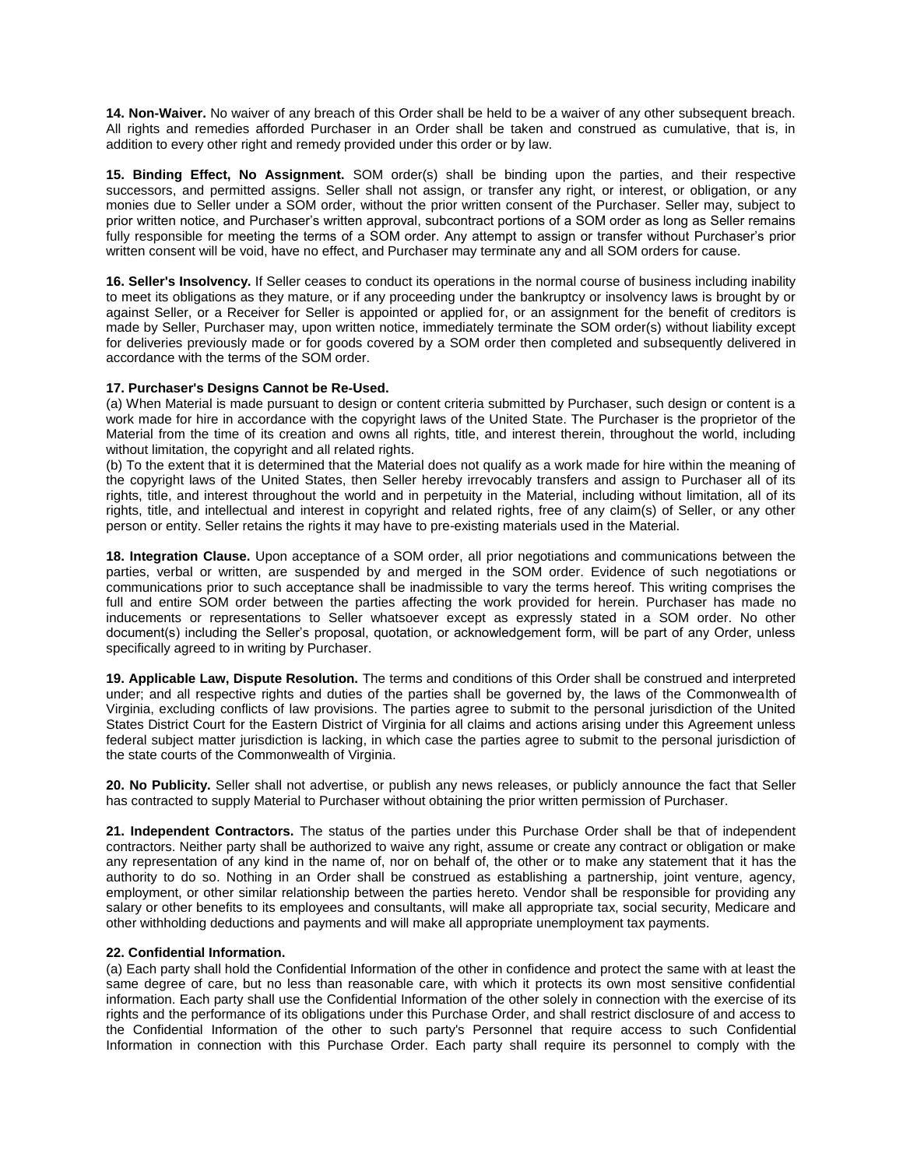**14. Non-Waiver.** No waiver of any breach of this Order shall be held to be a waiver of any other subsequent breach. All rights and remedies afforded Purchaser in an Order shall be taken and construed as cumulative, that is, in addition to every other right and remedy provided under this order or by law.

**15. Binding Effect, No Assignment.** SOM order(s) shall be binding upon the parties, and their respective successors, and permitted assigns. Seller shall not assign, or transfer any right, or interest, or obligation, or any monies due to Seller under a SOM order, without the prior written consent of the Purchaser. Seller may, subject to prior written notice, and Purchaser's written approval, subcontract portions of a SOM order as long as Seller remains fully responsible for meeting the terms of a SOM order. Any attempt to assign or transfer without Purchaser's prior written consent will be void, have no effect, and Purchaser may terminate any and all SOM orders for cause.

**16. Seller's Insolvency.** If Seller ceases to conduct its operations in the normal course of business including inability to meet its obligations as they mature, or if any proceeding under the bankruptcy or insolvency laws is brought by or against Seller, or a Receiver for Seller is appointed or applied for, or an assignment for the benefit of creditors is made by Seller, Purchaser may, upon written notice, immediately terminate the SOM order(s) without liability except for deliveries previously made or for goods covered by a SOM order then completed and subsequently delivered in accordance with the terms of the SOM order.

# **17. Purchaser's Designs Cannot be Re-Used.**

(a) When Material is made pursuant to design or content criteria submitted by Purchaser, such design or content is a work made for hire in accordance with the copyright laws of the United State. The Purchaser is the proprietor of the Material from the time of its creation and owns all rights, title, and interest therein, throughout the world, including without limitation, the copyright and all related rights.

(b) To the extent that it is determined that the Material does not qualify as a work made for hire within the meaning of the copyright laws of the United States, then Seller hereby irrevocably transfers and assign to Purchaser all of its rights, title, and interest throughout the world and in perpetuity in the Material, including without limitation, all of its rights, title, and intellectual and interest in copyright and related rights, free of any claim(s) of Seller, or any other person or entity. Seller retains the rights it may have to pre-existing materials used in the Material.

**18. Integration Clause.** Upon acceptance of a SOM order, all prior negotiations and communications between the parties, verbal or written, are suspended by and merged in the SOM order. Evidence of such negotiations or communications prior to such acceptance shall be inadmissible to vary the terms hereof. This writing comprises the full and entire SOM order between the parties affecting the work provided for herein. Purchaser has made no inducements or representations to Seller whatsoever except as expressly stated in a SOM order. No other document(s) including the Seller's proposal, quotation, or acknowledgement form, will be part of any Order, unless specifically agreed to in writing by Purchaser.

**19. Applicable Law, Dispute Resolution.** The terms and conditions of this Order shall be construed and interpreted under; and all respective rights and duties of the parties shall be governed by, the laws of the Commonwealth of Virginia, excluding conflicts of law provisions. The parties agree to submit to the personal jurisdiction of the United States District Court for the Eastern District of Virginia for all claims and actions arising under this Agreement unless federal subject matter jurisdiction is lacking, in which case the parties agree to submit to the personal jurisdiction of the state courts of the Commonwealth of Virginia.

**20. No Publicity.** Seller shall not advertise, or publish any news releases, or publicly announce the fact that Seller has contracted to supply Material to Purchaser without obtaining the prior written permission of Purchaser.

**21. Independent Contractors.** The status of the parties under this Purchase Order shall be that of independent contractors. Neither party shall be authorized to waive any right, assume or create any contract or obligation or make any representation of any kind in the name of, nor on behalf of, the other or to make any statement that it has the authority to do so. Nothing in an Order shall be construed as establishing a partnership, joint venture, agency, employment, or other similar relationship between the parties hereto. Vendor shall be responsible for providing any salary or other benefits to its employees and consultants, will make all appropriate tax, social security, Medicare and other withholding deductions and payments and will make all appropriate unemployment tax payments.

# **22. Confidential Information.**

(a) Each party shall hold the Confidential Information of the other in confidence and protect the same with at least the same degree of care, but no less than reasonable care, with which it protects its own most sensitive confidential information. Each party shall use the Confidential Information of the other solely in connection with the exercise of its rights and the performance of its obligations under this Purchase Order, and shall restrict disclosure of and access to the Confidential Information of the other to such party's Personnel that require access to such Confidential Information in connection with this Purchase Order. Each party shall require its personnel to comply with the